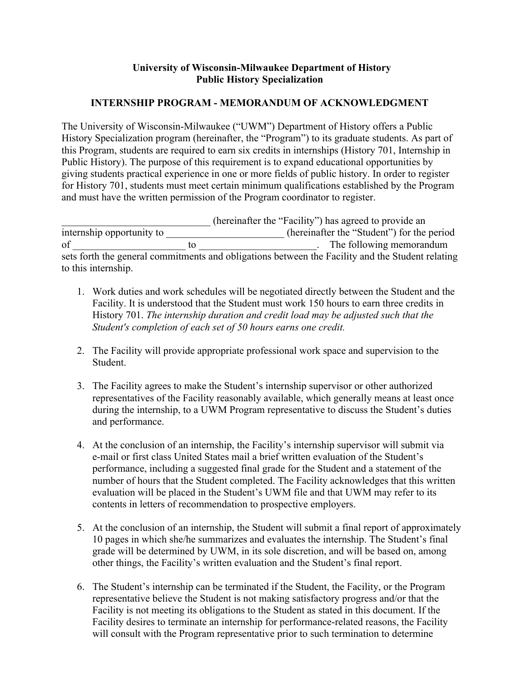## **University of Wisconsin-Milwaukee Department of History Public History Specialization**

## **INTERNSHIP PROGRAM - MEMORANDUM OF ACKNOWLEDGMENT**

The University of Wisconsin-Milwaukee ("UWM") Department of History offers a Public History Specialization program (hereinafter, the "Program") to its graduate students. As part of this Program, students are required to earn six credits in internships (History 701, Internship in Public History). The purpose of this requirement is to expand educational opportunities by giving students practical experience in one or more fields of public history. In order to register for History 701, students must meet certain minimum qualifications established by the Program and must have the written permission of the Program coordinator to register.

\_\_\_\_\_\_\_\_\_\_\_\_\_\_\_\_\_\_\_\_\_\_\_\_\_\_\_\_\_ (hereinafter the "Facility") has agreed to provide an internship opportunity to \_\_\_\_\_\_\_\_\_\_\_\_\_\_\_\_\_\_\_\_\_\_\_ (hereinafter the "Student") for the period of \_\_\_\_\_\_\_\_\_\_\_\_\_\_\_\_\_\_\_\_\_\_ to \_\_\_\_\_\_\_\_\_\_\_\_\_\_\_\_\_\_\_\_\_\_\_. The following memorandum sets forth the general commitments and obligations between the Facility and the Student relating to this internship.

- 1. Work duties and work schedules will be negotiated directly between the Student and the Facility. It is understood that the Student must work 150 hours to earn three credits in History 701. *The internship duration and credit load may be adjusted such that the Student's completion of each set of 50 hours earns one credit.*
- 2. The Facility will provide appropriate professional work space and supervision to the Student.
- 3. The Facility agrees to make the Student's internship supervisor or other authorized representatives of the Facility reasonably available, which generally means at least once during the internship, to a UWM Program representative to discuss the Student's duties and performance.
- 4. At the conclusion of an internship, the Facility's internship supervisor will submit via e-mail or first class United States mail a brief written evaluation of the Student's performance, including a suggested final grade for the Student and a statement of the number of hours that the Student completed. The Facility acknowledges that this written evaluation will be placed in the Student's UWM file and that UWM may refer to its contents in letters of recommendation to prospective employers.
- 5. At the conclusion of an internship, the Student will submit a final report of approximately 10 pages in which she/he summarizes and evaluates the internship. The Student's final grade will be determined by UWM, in its sole discretion, and will be based on, among other things, the Facility's written evaluation and the Student's final report.
- 6. The Student's internship can be terminated if the Student, the Facility, or the Program representative believe the Student is not making satisfactory progress and/or that the Facility is not meeting its obligations to the Student as stated in this document. If the Facility desires to terminate an internship for performance-related reasons, the Facility will consult with the Program representative prior to such termination to determine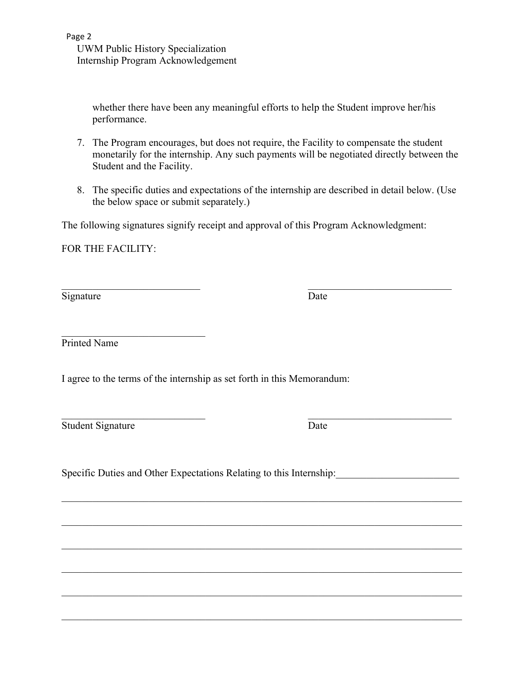whether there have been any meaningful efforts to help the Student improve her/his performance.

- 7. The Program encourages, but does not require, the Facility to compensate the student monetarily for the internship. Any such payments will be negotiated directly between the Student and the Facility.
- 8. The specific duties and expectations of the internship are described in detail below. (Use the below space or submit separately.)

The following signatures signify receipt and approval of this Program Acknowledgment:

 $\mathcal{L}_\text{max}$  , and the contract of the contract of the contract of the contract of the contract of the contract of the contract of the contract of the contract of the contract of the contract of the contract of the contr

 $\mathcal{L}_\mathcal{L} = \{ \mathcal{L}_\mathcal{L} = \{ \mathcal{L}_\mathcal{L} = \{ \mathcal{L}_\mathcal{L} = \{ \mathcal{L}_\mathcal{L} = \{ \mathcal{L}_\mathcal{L} = \{ \mathcal{L}_\mathcal{L} = \{ \mathcal{L}_\mathcal{L} = \{ \mathcal{L}_\mathcal{L} = \{ \mathcal{L}_\mathcal{L} = \{ \mathcal{L}_\mathcal{L} = \{ \mathcal{L}_\mathcal{L} = \{ \mathcal{L}_\mathcal{L} = \{ \mathcal{L}_\mathcal{L} = \{ \mathcal{L}_\mathcal{$ 

 $\mathcal{L}_\mathcal{L} = \mathcal{L}_\mathcal{L} = \mathcal{L}_\mathcal{L} = \mathcal{L}_\mathcal{L} = \mathcal{L}_\mathcal{L} = \mathcal{L}_\mathcal{L} = \mathcal{L}_\mathcal{L} = \mathcal{L}_\mathcal{L} = \mathcal{L}_\mathcal{L} = \mathcal{L}_\mathcal{L} = \mathcal{L}_\mathcal{L} = \mathcal{L}_\mathcal{L} = \mathcal{L}_\mathcal{L} = \mathcal{L}_\mathcal{L} = \mathcal{L}_\mathcal{L} = \mathcal{L}_\mathcal{L} = \mathcal{L}_\mathcal{L}$ 

 $\mathcal{L}_\mathcal{L} = \mathcal{L}_\mathcal{L} = \mathcal{L}_\mathcal{L} = \mathcal{L}_\mathcal{L} = \mathcal{L}_\mathcal{L} = \mathcal{L}_\mathcal{L} = \mathcal{L}_\mathcal{L} = \mathcal{L}_\mathcal{L} = \mathcal{L}_\mathcal{L} = \mathcal{L}_\mathcal{L} = \mathcal{L}_\mathcal{L} = \mathcal{L}_\mathcal{L} = \mathcal{L}_\mathcal{L} = \mathcal{L}_\mathcal{L} = \mathcal{L}_\mathcal{L} = \mathcal{L}_\mathcal{L} = \mathcal{L}_\mathcal{L}$ 

 $\mathcal{L}_\mathcal{L} = \mathcal{L}_\mathcal{L} = \mathcal{L}_\mathcal{L} = \mathcal{L}_\mathcal{L} = \mathcal{L}_\mathcal{L} = \mathcal{L}_\mathcal{L} = \mathcal{L}_\mathcal{L} = \mathcal{L}_\mathcal{L} = \mathcal{L}_\mathcal{L} = \mathcal{L}_\mathcal{L} = \mathcal{L}_\mathcal{L} = \mathcal{L}_\mathcal{L} = \mathcal{L}_\mathcal{L} = \mathcal{L}_\mathcal{L} = \mathcal{L}_\mathcal{L} = \mathcal{L}_\mathcal{L} = \mathcal{L}_\mathcal{L}$ 

 $\mathcal{L}_\mathcal{L} = \mathcal{L}_\mathcal{L} = \mathcal{L}_\mathcal{L} = \mathcal{L}_\mathcal{L} = \mathcal{L}_\mathcal{L} = \mathcal{L}_\mathcal{L} = \mathcal{L}_\mathcal{L} = \mathcal{L}_\mathcal{L} = \mathcal{L}_\mathcal{L} = \mathcal{L}_\mathcal{L} = \mathcal{L}_\mathcal{L} = \mathcal{L}_\mathcal{L} = \mathcal{L}_\mathcal{L} = \mathcal{L}_\mathcal{L} = \mathcal{L}_\mathcal{L} = \mathcal{L}_\mathcal{L} = \mathcal{L}_\mathcal{L}$ 

 $\mathcal{L}_\mathcal{L} = \{ \mathcal{L}_\mathcal{L} = \{ \mathcal{L}_\mathcal{L} = \{ \mathcal{L}_\mathcal{L} = \{ \mathcal{L}_\mathcal{L} = \{ \mathcal{L}_\mathcal{L} = \{ \mathcal{L}_\mathcal{L} = \{ \mathcal{L}_\mathcal{L} = \{ \mathcal{L}_\mathcal{L} = \{ \mathcal{L}_\mathcal{L} = \{ \mathcal{L}_\mathcal{L} = \{ \mathcal{L}_\mathcal{L} = \{ \mathcal{L}_\mathcal{L} = \{ \mathcal{L}_\mathcal{L} = \{ \mathcal{L}_\mathcal{$ 

FOR THE FACILITY:

Signature Date

 $\mathcal{L}_\text{max}$  , where  $\mathcal{L}_\text{max}$  and  $\mathcal{L}_\text{max}$ Printed Name

I agree to the terms of the internship as set forth in this Memorandum:

Student Signature Date

Specific Duties and Other Expectations Relating to this Internship:

 $\mathcal{L}_\text{max}$  , and the contribution of the contribution of the contribution of the contribution of the contribution of the contribution of the contribution of the contribution of the contribution of the contribution of t